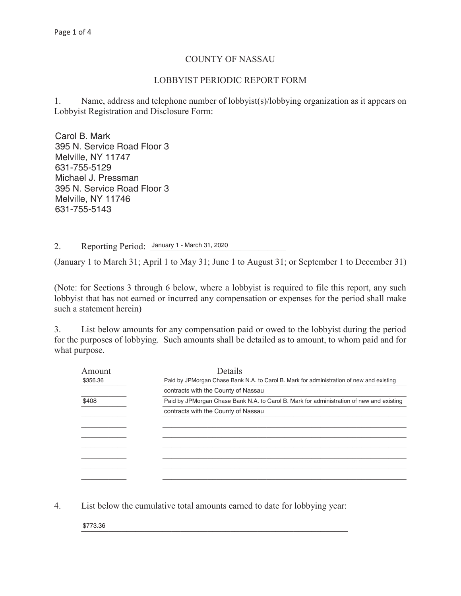## COUNTY OF NASSAU

## LOBBYIST PERIODIC REPORT FORM

1. Name, address and telephone number of lobbyist(s)/lobbying organization as it appears on Lobbyist Registration and Disclosure Form:

Carol B. Mark \_\_\_\_\_\_\_\_\_\_\_\_\_\_\_\_\_\_\_\_\_\_\_\_\_\_\_\_\_\_\_\_\_\_\_\_\_\_\_\_\_\_\_\_\_\_\_\_\_\_\_\_\_\_\_\_\_\_\_\_\_\_\_\_\_\_\_\_\_\_\_\_\_\_\_\_\_\_ Melville, NY 11747 \_\_\_\_\_\_\_\_\_\_\_\_\_\_\_\_\_\_\_\_\_\_\_\_\_\_\_\_\_\_\_\_\_\_\_\_\_\_\_\_\_\_\_\_\_\_\_\_\_\_\_\_\_\_\_\_\_\_\_\_\_\_\_\_\_\_\_\_\_\_\_\_\_\_\_\_\_\_ Michael J. Pressman \_\_\_\_\_\_\_\_\_\_\_\_\_\_\_\_\_\_\_\_\_\_\_\_\_\_\_\_\_\_\_\_\_\_\_\_\_\_\_\_\_\_\_\_\_\_\_\_\_\_\_\_\_\_\_\_\_\_\_\_\_\_\_\_\_\_\_\_\_\_\_\_\_\_\_\_\_\_ Melville, NY 11746  $\frac{1}{2}$ 395 N. Service Road Floor 3 631-755-5129 395 N. Service Road Floor 3 631-755-5143

2. Reporting Period: January 1 - March 31, 2020

(January 1 to March 31; April 1 to May 31; June 1 to August 31; or September 1 to December 31)

(Note: for Sections 3 through 6 below, where a lobbyist is required to file this report, any such lobbyist that has not earned or incurred any compensation or expenses for the period shall make such a statement herein)

3. List below amounts for any compensation paid or owed to the lobbyist during the period for the purposes of lobbying. Such amounts shall be detailed as to amount, to whom paid and for what purpose.

| Amount   | Details                                                                                   |
|----------|-------------------------------------------------------------------------------------------|
| \$356.36 | Paid by JPMorgan Chase Bank N.A. to Carol B. Mark for administration of new and existing  |
|          | contracts with the County of Nassau                                                       |
| \$408    | Paid by JPM organ Chase Bank N.A. to Carol B. Mark for administration of new and existing |
|          | contracts with the County of Nassau                                                       |
|          |                                                                                           |
|          |                                                                                           |
|          |                                                                                           |
|          |                                                                                           |
|          |                                                                                           |
|          |                                                                                           |
|          |                                                                                           |

4. List below the cumulative total amounts earned to date for lobbying year:

 $$773.36$ \$773.36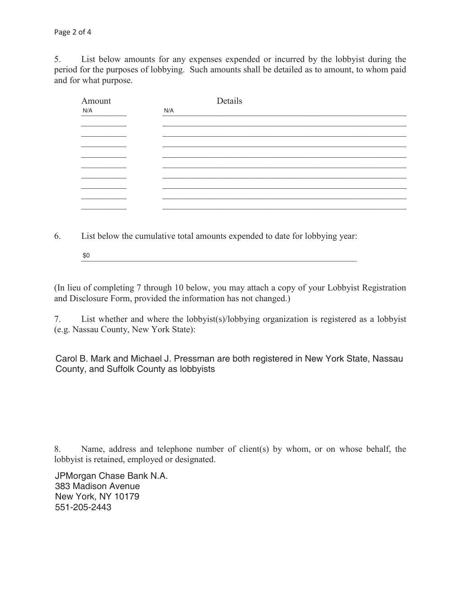5. List below amounts for any expenses expended or incurred by the lobbyist during the period for the purposes of lobbying. Such amounts shall be detailed as to amount, to whom paid and for what purpose.

| Amount | Details |
|--------|---------|
| N/A    | N/A     |
|        |         |
|        |         |
|        |         |
|        |         |
|        |         |
|        |         |
|        |         |
|        |         |
|        |         |
|        |         |
|        |         |
|        |         |

6. List below the cumulative total amounts expended to date for lobbying year:

 $\frac{1}{20}$ \$0

(In lieu of completing 7 through 10 below, you may attach a copy of your Lobbyist Registration and Disclosure Form, provided the information has not changed.)

7. List whether and where the lobbyist(s)/lobbying organization is registered as a lobbyist (e.g. Nassau County, New York State):

Carol B. Mark and Michael J. Pressman are both registered in New York State, Nassau  $\ldots$ ,  $\ldots$ ,  $\ldots$ County, and Suffolk County as lobbyists

8. Name, address and telephone number of client(s) by whom, or on whose behalf, the lobbyist is retained, employed or designated.

\_\_\_\_\_\_\_\_\_\_\_\_\_\_\_\_\_\_\_\_\_\_\_\_\_\_\_\_\_\_\_\_\_\_\_\_\_\_\_\_\_\_\_\_\_\_\_\_\_\_\_\_\_\_\_\_\_\_\_\_\_\_\_\_\_\_\_\_\_\_\_\_\_\_\_\_\_\_ 383 Madison Avenue \_\_\_\_\_\_\_\_\_\_\_\_\_\_\_\_\_\_\_\_\_\_\_\_\_\_\_\_\_\_\_\_\_\_\_\_\_\_\_\_\_\_\_\_\_\_\_\_\_\_\_\_\_\_\_\_\_\_\_\_\_\_\_\_\_\_\_\_\_\_\_\_\_\_\_\_\_\_ 551-205-2443JPMorgan Chase Bank N.A. New York, NY 10179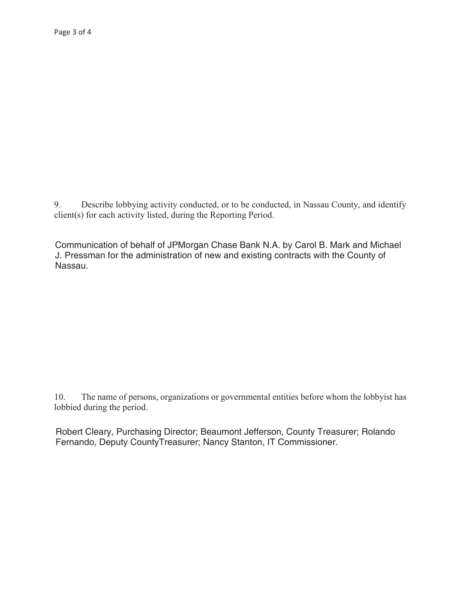Describe lobbying activity conducted, or to be conducted, in Nassau County, and identify 9. client(s) for each activity listed, during the Reporting Period.

Communication of behalf of JPMorgan Chase Bank N.A. by Carol B. Mark and Michael J. Pressman for the administration of new and existing contracts with the County of Nassau.

The name of persons, organizations or governmental entities before whom the lobbyist has 10. lobbied during the period.

Robert Cleary, Purchasing Director; Beaumont Jefferson, County Treasurer; Rolando Fernando, Deputy CountyTreasurer; Nancy Stanton, IT Commissioner.